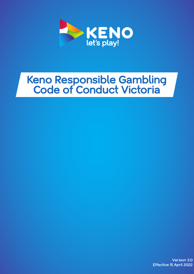

# **Keno Responsible Gambling Code of Conduct Victoria**

Version 3.0 Effective 15 April 2022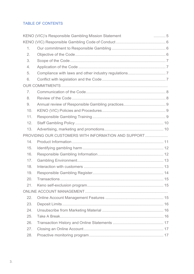# TABLE OF CONTENTS

|     | KENO (VIC)'s Responsible Gambling Mission Statement  | $\ldots \ldots \ldots 5$ |
|-----|------------------------------------------------------|--------------------------|
|     |                                                      |                          |
| 1.  |                                                      |                          |
| 2.  |                                                      |                          |
| 3.  |                                                      |                          |
| 4.  |                                                      |                          |
| 5.  |                                                      |                          |
| 6.  |                                                      |                          |
|     |                                                      |                          |
| 7.  |                                                      |                          |
| 8.  |                                                      |                          |
| 9.  |                                                      |                          |
| 10. |                                                      |                          |
| 11. |                                                      |                          |
| 12. |                                                      |                          |
| 13. |                                                      |                          |
|     | PROVIDING OUR CUSTOMERS WITH INFORMATION AND SUPPORT |                          |
| 14. |                                                      |                          |
| 15. |                                                      |                          |
| 16. |                                                      |                          |
| 17. |                                                      |                          |
| 18. |                                                      |                          |
| 19. |                                                      |                          |
| 20. |                                                      |                          |
| 21. |                                                      |                          |
|     |                                                      |                          |
| 22. |                                                      |                          |
| 23. |                                                      |                          |
| 24. |                                                      |                          |
| 25. |                                                      |                          |
| 26. |                                                      |                          |
| 27. |                                                      |                          |
| 28. |                                                      |                          |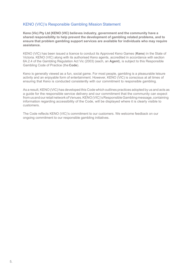# KENO (VIC)'s Responsible Gambling Mission Statement

**Keno (Vic) Pty Ltd (KENO (VIC) believes industry, government and the community have a shared responsibility to help prevent the development of gambling related problems, and to ensure that problem gambling support services are available for individuals who may require assistance.**

KENO (VIC) has been issued a licence to conduct its Approved Keno Games (**Keno**) in the State of Victoria. KENO (VIC) along with its authorised Keno agents, accredited in accordance with section 6A.2.4 of the Gambling Regulation Act Vic (2003) (each, an **Agent**), is subject to this Responsible Gambling Code of Practice (the **Code**).

Keno is generally viewed as a fun, social game. For most people, gambling is a pleasurable leisure activity and an enjoyable form of entertainment. However, KENO (VIC) is conscious at all times of ensuring that Keno is conducted consistently with our commitment to responsible gambling.

As a result, KENO (VIC) has developed this Code which outlines practices adopted by us and acts as a guide for the responsible service delivery and our commitment that the community can expect from us and our retail network of Venues. KENO (VIC)'s Responsible Gambling message, containing information regarding accessibility of the Code, will be displayed where it is clearly visible to customers.

The Code reflects KENO (VIC)'s commitment to our customers. We welcome feedback on our ongoing commitment to our responsible gambling initiatives.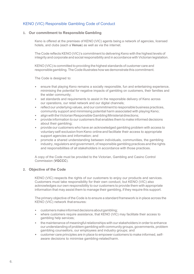# KENO (VIC) Responsible Gambling Code of Conduct

#### **1. Our commitment to Responsible Gambling**

Keno is offered at the premises of KENO (VIC) agents being a network of agencies, licensed hotels, and clubs (each a **Venue**) as well as via the internet.

The Code reflects KENO (VIC)'s commitment to delivering Keno with the highest levels of integrity and corporate and social responsibility and in accordance with Victorian legislation.

KENO (VIC)is committed to providing the highest standards of customer care and responsible gambling.The Code illustrates how we demonstrate this commitment.

The Code is designed to:

- ensure that playing Keno remains a socially responsible, fun and entertaining experience, minimising the potential for negative impacts of gambling on customers, their families and the wider community;
- set standards and requirements to assist in the responsible delivery of Keno across our operations, our retail network and our digital channels;
- reflect our underlying values, and our commitment to responsible business practices, community support and minimising potential harm associated with playing Keno;
- align with the Victorian Responsible Gambling Ministerial directions;
- provide information to our customers that enables them to make informed decisions about their gambling;
- provide our customers who have an acknowledged gambling problem with access to voluntary self-exclusion from Keno online and facilitate their access to appropriate support agencies and information; and
- promote a shared understanding between individuals, communities, the gambling industry, regulators and government, of responsible gambling practices and the rights and responsibilities of all stakeholders in accordance with those practices.

A copy of the Code must be provided to the Victorian, Gambling and Casino Control Commission (**VGCCC**).

## **2. Objective of the Code**

KENO (VIC) respects the rights of our customers to enjoy our products and services. Customers must take responsibility for their own conduct, but KENO (VIC) also acknowledges our own responsibility to our customers to provide them with appropriate information that may assist them to manage their gambling, if they require this support.

The primary objective of the Code is to ensure a standard framework is in place across the KENO (VIC) network that ensures:

- customersmakeinformeddecisionsaboutgambling;
- where customers require assistance, that KENO (VIC) may facilitate their access to gambling help services;
- the maintenance of meaningfulrelationships with our stakeholders in order to enhance our understanding of problem gambling with community groups, governments, problem gambling counsellors, our employees and industry groups; and
- customer care principles are in place to empower customers to make informed, selfaware decisions to minimise gambling-relatedharm.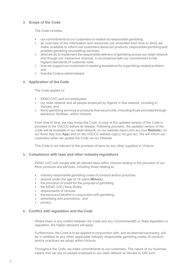# **3. Scope of the Code**

The Code includes:

- our commitments to our customers in relation to responsible gambling;
- an overview of the information and resources (as amended from time to time) we make available to inform our customers about our products, responsible gambling and problem gambling counselling services;
- what we do to implement the responsible delivery of gambling across our retail network and though our interactive channel, in accordance with our commitment to the highest standards of customer care;
- how we support our customers in seeking assistance for a gambling-related problem; and
- how the Code is administered.

# **4. Application of the Code**

The Code applies to:

- KENO (VIC) and our employees;
- our retail network and all people employed by Agents in that network, including in Venues; and
- Keno gambling services or products that we provide, including those provided through electronic facilities, within Victoria.

From time to time, we may revise the Code. A copy of the updated version of the Code is provided to the VGCCC before its release. Following provision, the updated version of the Code will be available in our retail network, on our website (keno.com.au) (our **Website**), on our Keno App (our **App**) and on the VGCCC website (vgccc.vic.gov.au). We will inform our customers when we update the Code via our Website.

This Code is not relevant to the provision of keno by any other suppliers in Victoria.

# **5. Compliance with laws and other industryregulations**

KENO (VIC) will comply with all relevant laws within Victoria relating to the provision of our Keno products and services, including those relating to:

- industry responsible gambling codes of conduct and/or practices;<br>• anvone under the age of 18 years (**Minors**);
- anyone under the age of 18 years (**Minors**);
- the provision of credit for the purpose of gambling;
- the KENO (VIC) Keno Rules;
- requirements of Venues;
- the service of alcohol in conjunction with gambling;
- advertising and promotions; and
- privacy.

# **6. Conflict with legislation and the Code**

Where there is any conflict between the Code and any Commonwealth or State legislation or regulation, the higher standard will apply.

Furthermore, the Code is to be applied in conjunction with, and as deemed necessary, will be in addition to any other applicable industry responsible gambling codes of conduct and/or practices we adopt within Victoria.

Throughout the Code, we make commitments to our customers. The nature of our business means that we rely on people employed in our retail network at Venues to fulfil such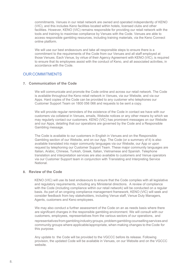commitments. Venues in our retail network are owned and operated independently of KENO (VIC), and this includes Keno facilities located within hotels, licensed clubs and other facilities. However, KENO (VIC) remains responsible for providing our retail network with the tools and training to maximise compliance by Venues with the Code. Venues are able to access responsible gambling resources, including training materials, via the Keno Connect online platform.

We will use our best endeavours and take all responsible steps to ensure there is a commitment to the requirements of the Code from our Venues and all staff employed at those Venues. Each Venue, by virtue of their Agency Agreement with KENO (VIC), is required to ensure that its employees assist with the conduct of Keno, and all associated activities, in accordance with the Code.

# OUR COMMITMENTS

## **7. Communication of the Code**

We will communicate and promote the Code online and across our retail network. The Code is available throughout the Keno retail network in Venues, via our Website, and via our Apps. Hard copies of the Code can be provided to any customer who telephones our Customer Support Team on 1800 056 066 and requests to be sent a copy.

We will provide regular reminders of the existence of the Code in contact we have with our customers via collateral in Venues, emails, Website notices or any other means by which we may regularly contact our customers. KENO (VIC) has prominent messages on our Website and our Apps, detailing that our operations are governed by the Code and a Responsible Gambling message.

The Code is available to our customers in English in Venues and on the Responsible Gambling section of our Website, and on our App. The Code (or a summary of it) is also available translated into major community languages via our Website, our App or upon request by telephoning our Customer Support Team. These major community languages are Italian, Arabic, Chinese, Turkish, Greek, Italian, Vietnamese and Spanish. Telephone translation and interpretation services are also available to customers and Venue operators via our Customer Support team in conjunction with Translating and Interpreting Service National.

#### **8. Review of the Code**

KENO (VIC) will use its best endeavours to ensure that the Code complies with all legislative and regulatory requirements, including any Ministerial directions. A review of compliance with the Code (including compliance within our retail network) will be conducted on a regular basis. As part of an ongoing compliance management framework, KENO (VIC) will seek and consider feedback from key stakeholders, including Venue staff, Venue Duty Managers, Agents, customers and Keno employees.

We may also conduct a further assessment of the Code on an as needs basis where there are significant changes in the responsible gambling environment. We will consult with our customers, employees, representatives from the various sectors of our operations, and

representatives from gambling industry groups, problem gambling counselling services and community groups where applicable/appropriate, when making changes to the Code for this purpose.

Any update to the Code will be provided to the VGCCC before its release. Following provision, the updated Code will be available in Venues, on our Website and on the VGCCC website.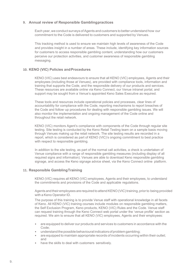## **9. Annual review of Responsible Gamblingpractices**

Each year, we conduct surveys of Agents and customers to better understand how our commitment to the Code is delivered to customers and supported by Venues.

This tracking method is used to ensure we maintain high levels of awareness of the Code and provides insight in a number of areas. These include, identifying key information sources for customers to access responsible gambling content, understanding how our customers perceive our protection activities, and customer awareness of responsible gambling messaging.

## **10. KENO (VIC) Policies andProcedures**

KENO (VIC) uses best endeavours to ensure that all KENO (VIC) employees, Agents and their employees (including those at Venues), are provided with compliance tools, information and training that supports the Code, and the responsible delivery of our products and services. These resources are available online via Keno Connect, our Venue intranet portal, and support may be sought from a Venue's appointed Keno Sales Executive as required.

These tools and resources include operational policies and processes, clear lines of accountability for compliance with the Code, reporting mechanisms to report breaches of the Code and follow‐up procedures for dealing with responsible gambling issues. We will also monitor the implementation and ongoing management of the Code online and throughout the retail network.

KENO (VIC) monitors Agent's compliance with components of the Code through regular site testing. Site testing is conducted by the Keno Retail Testing team on a sample basis moving through Venues making up the retail network. The site testing results are recorded in a report, which is considered as part of KENO (VIC)'s ongoing commitment to best practice with respect to responsible gambling.

In addition to the site testing, as part of the normal call activities, a check is undertaken of Venue compliance with a range of responsible gambling measures (including display of all required signs and information). Venues are able to download Keno responsible gambling signage, and access the Keno signage advice sheet, via the Keno Connect online platform.

#### **11. Responsible GamblingTraining**

KENO (VIC) requires all KENO (VIC) employees, Agents and their employees, to understand the commitments and provisions of the Code and applicable regulations.

Agents and their employees are required to attend KENO (VIC) training, prior to being provided with a Keno Operator ID.

The purpose of this training is to provide Venue staff with operational knowledge in all facets of Keno. All KENO (VIC) training courses include modules on responsible gambling matters, the Self Exclusion Program, Keno products, KENO (VIC) Rules and the Code. Venue staff can request training through the Keno Connect web portal under the 'venue profile' section as required. We aim to ensure that all KENO (VIC) employees, Agents and their employees:

- are equipped to deliver our products and services to customers in accordance with the Code;
- understand the possible behavioural indicators of problem gambling;
- are equipped to maintain appropriate records of incidents occurring within their outlet; and
- have the skills to deal with customers sensitively.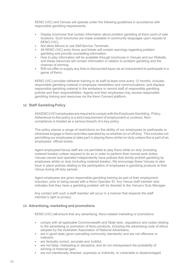KENO (VIC) and Venues will operate under the following guidelines in accordance with responsible gambling requirements:

- Display brochures that contain information about problem gambling at Keno point of sale locations. Such brochures are made available in community languages upon request to KENO (VIC).
- Not allow Minors to use Self-Service Terminals.
- All KENO (VIC) entry forms and tickets will contain warnings regarding problem gambling and provide counselling information.
- How to play information will be available through brochures in Venues and our Website, and these resources will contain information in relation to problem gambling and the chances of winning.
- Will not offer or supply any free or discounted liquor as an inducement to participate in a game of Keno.

KENO (VIC) provides refresher training to its staff at least once every 12 months, includes responsible gambling material in employee newsletters and communications, and displays responsible gambling material in the workplace to remind staff of responsible gambling policies and their responsibilities. Agents and their employees may access responsible gambling training and resources via the Keno Connect platform.

## **12. Staff Gambling Policy**

All KENO(VIC) employees are required to comply with the Employee Gambling Policy. Adherence to this policy is a strict requirement of employment or contract. Noncompliance is treated as a serious breach of a key policy.

The policy places a range of restrictions on the ability of our employees to participate or otherwise engage in Keno activities operated by us whether on or off duty. This includes not permitting our employees to take part in playing Keno whilst on-duty unless this is part of an employees' official duties.

Agent employees/Venue staff are not permitted to play Keno while on duty (including rostered breaks) unless required to do so in order to perform their normal work duties. Venues owned and operated independently have policies that strictly prohibit gambling by employees whilst on duty (including rostered breaks). We encourage these Venues to also have in place policies relating to the participation of employees in gambling products at their Venue during off-duty periods.

Agent employees are given responsible gambling training as part of their employment induction, prior to being issued with a Keno Operator ID. Any Venue staff member who indicates that they have a gambling problem will be directed to the Venue's Duty Manager.

Any contact with such a staff member will occur in a manner that respects the staff member's right to privacy.

#### **13. Advertising, marketing and promotions**

KENO (VIC) will ensure that any advertising, Keno-related marketing or promotions:

- comply with all applicable Commonwealth and State laws, regulations and codes relating to the advertising or promotion of Keno products, including the advertising code of ethics adopted by the Australian Association of National Advertisers;
- are in good taste (given prevailing community standards) and are not offensive or indecent;
- are factually correct, accurate and truthful;
- are not false, misleading or deceptive, and do not misrepresent the probability of winning or financial gain;
- are not intentionally directed, expressly or indirectly, to vulnerable or disadvantaged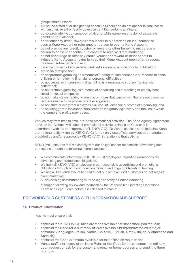groups and/or Minors;

- will not be aimed at or designed to appeal to Minors and do not appear in conjunction with an offer, event or facility advertisement that pertains to Minors;
- do not promote the consumption of alcohol while gambling and do not associate gambling with alcohol;
- do not offer any credit, rewards or vouchers to a person as an inducement to open a Keno Account or refer another person to open a Keno Account;
- do not provide any credit, voucher or reward or other benefit to encourage a person to consent or continue to consent to receive direct marketing;
- do not encourage or offer any credit, voucher or reward or other benefit to induce a Keno Account holder to keep their Keno Account open after a request has been submitted to close it;
- have the consent of any person identified as winning a prize prior to publication;
- are socially responsible;
- do not promote gambling as a means of funding routine household purchases or costs of living or for relieving financial or personal difficulties;
- do not create an impression that gambling is a reasonable strategy for financial betterment;
- do not promote gambling as a means of enhancing social standing or employment, social or sexual prospects;
- do not make claims related to winning or prizes that can be won that are not based on fact, are unable to be proven or are exaggerated;
- do not state or imply that a player's skill can influence the outcome of a gambling; and
- do not exaggerate the connection between the gambling activity and the use to which the gambler's profits may be put.

Venues may from time to time, run Keno promotional activities. The Keno Agency Agreement provides that Venues will conduct promotional activities relating to Keno only in accordance with the prior approval of KENO (VIC). If a Venue elects to participate in a Keno promotional activity run by KENO (VIC) it may only use official services and materials provided by and/or approval by KENO (VIC), in relation to that activity.

KENO (VIC) ensures that we comply with our obligations for responsible advertising and promotions through the following internal actions:

- We communicate information to KENO (VIC) employees regarding ourresponsible advertising and promotions obligations.
- We train all KENO (VIC) employees in our responsible advertising and promotions obligations through both our induction training and ongoing Marketing training.
- We use all best endeavours to ensure that our self-excluded customers do not receive direct marketing.
- All advertising and marketing must be signed off by a Senior Marketing
	- Manager, following review and feedback by the Responsible Gambling Operations Team and Legal Team before it is released to market.

# PROVIDING OUR CUSTOMERS WITH INFORMATION AND SUPPORT

#### **14. Product Information**

Agents must ensure that:

- copies of the KENO (VIC) Rules are made available for inspection upon request;
- copies of the Code (or a summary of it) are available for inspection on request in major community languages (Italian, Arabic, Chinese, Turkish, Greek, Italian, Vietnamese and Spanish);
- copies of the Code are made available for inspection on request; and
- Venue staff print a copy of the Keno Rules or the Code for the customer immediately upon request or ask for the customer's email or home address and send it to them promptly.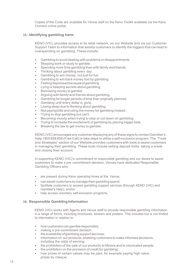Copies of the Code are available for Venue staff on the Keno Toolkit available via the Keno Connect online portal.

## **15. Identifying gambling harm**

KENO (VIC) provides access in its retail network, on our Website and via our Customer Support Team to information that assists customers to identify the triggers that can lead to overspending on gambling. These include:

- Gambling to avoid dealing with problems or disappointments.
- Skipping work or study to gamble.
- Spending more time gambling than with family and friends.
- Thinking about gambling every day.
- Gambling to win money, not just for fun.
- Gambling to win back money lost by gambling.
- Feelingdepressedbecauseofgambling.
- Lying or keeping secrets about gambling.
- Borrowing money to gamble.
- Arguing with family and friends about gambling.
- Gambling for longer periods of time than originally planned.
- Gambling until every dollar is gone.
- Losing sleep due to thinking about gambling.
- Not paying bills and using the money for gambling instead.
- Trying to stop gambling but can't.
- Becoming moody when trying to stop or cut down on gambling.
- Trying to increase the excitement of gambling by placing bigger bets.
- Breaking the law to get money to gamble.

KENO(VIC) encourages any customer displaying any of these signs to contactGambler's Help 1800 858 858 (Free Call) or take steps to utilise a self-exclusion program. The "Tools and Strategies" section of our Website provides customers with tools to assist customers in managing their gambling. These tools include setting deposit limits, taking a break and closing their account.

In supporting KENO (VIC)'s commitment to responsible gambling and our desire to assist customers to make a pre‐commitment decision, Venues have dedicated Responsible Gambling Officers who:

- are present during Keno operating times at the Venue;
- can assist customers to manage their gambling spend;
- facilitate customers to access gambling support services (through KENO (VIC) and Gambler's Help); and/or
- help access voluntary self-exclusion programs.

# **16. Responsible Gambling Information**

KENO (VIC) works with Agents and Venue staff to provide responsible gambling information in a range of forms, including brochures, stickers and posters. This includes but is not limited to information in relation to:

- how customers can gamble responsibly;
- making a pre-commitment decision:
- the availability of gambling support services:
- information on our products, enabling customers to make informed decisions, including the odds of winning;
- the prohibition of the sale of our products to Minors and to intoxicated people;
- the prohibition on the provision of credit for gambling;
- how prizes of certain values may be paid, for example paying high value prizes by cheque;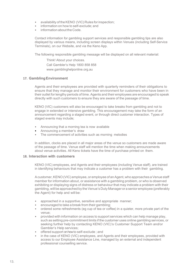- availability of the KENO (VIC) Rules forinspection;
- information on how to self-exclude; and
- information about the Code.

Contact information for gambling support services and responsible gambling tips are also displayed by various means, including screen displays within Venues (including Self-Service Terminals), on our Website, and via the Keno App.

The following responsible gambling message will be displayed on all relevant material:

Think! About your choices. Call Gambler's Help 1800 858 858 [www.gamblinghelponline.org.au](http://www.gamblinghelponline.org.au/) 

## **17. GamblingEnvironment**

Agents and their employees are provided with quarterly reminders of their obligations to ensure that they manage and monitor their environment for customers who have been in their outlet for lengthy periods of time. Agents and their employees are encouraged to speak directly with such customers to ensure they are aware of the passage of time.

KENO (VIC) customers will also be encouraged to take breaks from gambling and not to engage in extended or intensive gambling. This encouragement may take the form of an announcement regarding a staged event, or through direct customer interaction. Types of staged events may include;

- Announcing that a morning tea is now available
- Announcing a member's draw
- The commencement of activities such as morning melodies

In addition, clocks are placed in all major areas of the venue so customers are made aware of the passage of time. Venue staff will mention the time when making announcements about venue activities. All Keno tickets have the time of purchase printed on them.

#### **18. Interaction with customers**

KENO (VIC) employees, and Agents and their employees (including Venue staff), are trained in identifying behaviours that may indicate a customer has a problem with their gambling.

A customer, KENO (VIC) employee, or employee of an Agent, who approaches a Venue staff member for information about, or assistance with a gambling problem, or who is observed exhibiting or displaying signs of distress or behaviour that may indicate a problem with their gambling, will be approached by the Venue's Duty Manager or a senior employee (preferably the Agent) for help and will be:

- approached in a supportive, sensitive and appropriate manner;
- encouraged to take a break from their gambling;
- ordered some refreshments (eg cup of tea or coffee) in a quieter, more private part of the venue;
- provided with information on access to support services which can help manage play, such as setting pre-commitment limits if the customer uses online gambling services, or seeking further help by contacting KENO (VIC)'s Customer Support Team and/or Gambler's Help services;
- offered support on how to self-exclude ; and
- in the case of KENO (VIC) employees, and Agents and their employees, provided with access to our Employee Assistance Line, managed by an external and independent professional counselling service.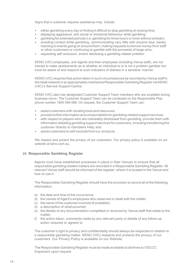Signs that a customer requires assistance may include:

- either gambling every day or finding it difficult to stop gambling at closing time;
- displaying aggressive, anti‐social or emotional behaviour while gambling;
- gambling for extended periods (i.e. gambling forthree hours or more without a break);
- avoiding contact while gambling, communicating very little with anyone else, barely reacting to events going on around them, making requests to borrow money from staff or other customers or continuing to gamble with the proceeds of large wins;
- requesting self-exclusion, and/or disclosing a gambling related problem.

KENO (VIC) employees, and Agents and their employees (including Venue staff), are not trained to make assessments as to whether an individual is or is not a problem gambler but must be aware of and respond to such indicators of distress in a sensitive manner.

KENO (VIC) requires that action taken in such circumstances be recorded by Venue staff in the retail network in an appropriately maintained Responsible Gambling Register via KENO (VIC)'s Service Support Centre.

KENO (VIC) also has designated Customer Support Team members who are available during business hours. The Customer Support Team can be contacted on the Responsible Play phone number 1800 056 066. On request, the Customer Support Team can:

- assist customers with locating tools and resources;
- provide furtherinformation and contact details for gambling-related support services;
- with respect to players who are noticeably distressed from gambling, provide them with information detailing gambling support services for customers, including transferring the customer directly to Gamblers Help; and
- assist customers to self-exclude from our products.

We respect and protect the privacy of our customers. Our privacy policy is available on our website at keno.com.au.

#### **19. Responsible Gambling Register**

Agents must have established processes in place in their Venues to ensure that all responsible gambling related matters are recorded in a Responsible Gambling Register. All relevant Venue staff should be informed of the register, where it is located in the Venue and how to use it.

The Responsible Gambling Register should have the provision to record all of the following information:

- (a) the date and time of the occurrence;
- (b) the names of Agent's employees who observed or dealt with the matter;
- (c) the name of the customer involved (if available);
- (d) a description of whatoccurred;
- (e) the details of any documentation completed or received by Venue staff that relate to the matter;
- (f) the action taken, comments made by any relevant party or details of any follow-up action required or agreed to.

The customer's right to privacy and confidentiality should always be respected in relation to a responsible gambling matter. KENO (VIC) respects and protects the privacy of our customers. Our Privacy Policy is available on our Website.

The Responsible Gambling Register must be made available at all times to VGCCC Inspectors upon request.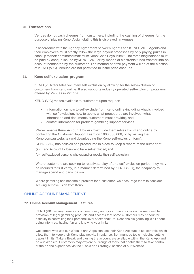# **20. Transactions**

Venues do not cash cheques from customers, including the cashing of cheques for the purpose of playing Keno. A sign stating this is displayed in Venues.

In accordance with the Agency Agreement between Agents and KENO (VIC), Agents and their employees must strictly follow the large payout processes by only paying prizes in cash up to their nominated maximum Keno Cash Payout limit. The remaining balance must be paid by cheque issued byKENO (VIC) or by means of electronic funds transfer into an account nominated by the customer. The method of prize payment will be at the election of KENO (VIC). Venues are not permitted to issue prize cheques.

#### **21. Keno self-exclusion program**

KENO (VIC) facilitates voluntary self‐exclusion by allowing for the self-exclusion of customers from Keno online. It also supports industry operated self-exclusion programs offered by Venues in Victoria.

KENO (VIC) makes available to customers upon request:

- Information on how to self-exclude from Keno online (including what is involved with self-exclusion, how to apply, what procedures are involved, what information and documents customers must provide), and
- contact information for problem gambling support services.

We will enable Keno Account Holders to exclude themselves from Keno online by contacting the Customer Support Team on 1800 056 066, or by visiting the Keno.com.au website (and downloading the Keno self-exclusion form).

KENO (VIC) has policies and procedures in place to keep a record of the number of:

- (a) Keno Account Holders who have self-excluded; and
- (b) self-excluded persons who extend or revoke their self-exclusion.

Where customers are seeking to reactivate play after a self-exclusion period, they may be required to first verify, in a manner determined by KENO (VIC), their capacity to manage spend and participation.

Where gambling has become a problem for a customer, we encourage them to consider seeking self-exclusion from Keno.

# ONLINE ACCOUNT MANAGEMENT

#### **22. Online Account Management Features**

KENO (VIC) is very conscious of community and government focus on the responsible provision of legal gambling products and accepts that some customers may encounter difficulty in controlling their personal level of expenditure. Responsible gambling is all about being informed, having fun and knowing your limits.

Customers who use our Website and Apps can use their Keno Account to set controls which allow them to keep their Keno play activity in balance. Self-manage tools including setting deposit limits, Take a Break and closing the account are available within the Keno App and on our Website. Customers may explore our range of tools that enable them to take control of their Keno experience via the "Tools and Strategy" section of our Website.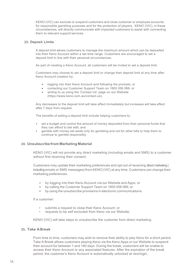KENO (VIC) can exclude or suspend customers and close customer or employee accounts for responsible gambling purposes and for the protection of players. KENO (VIC), in these circumstances, will directly communicate with impacted customers to assist with connecting them to relevant support services.

## **23. Deposit Limits**

A deposit limit allows customers to manage the maximum amount which can be deposited into their Keno Account within a set time range. Customers are encouraged to set a deposit limit in line with their personal circumstances.

As part of creating a Keno Account, all customers will be invited to set a deposit limit.

Customers may choose to set a deposit limit or change their deposit limit at any time after Keno Account creation by:

- logging into their Keno Account and following the prompts; or
- contacting our Customer Support Team on 1800 056 066; or
- writing to us using the 'Contact Us" page on our Website (https://www.keno.com.au/contact-us).

Any decreases to the deposit limit will take effect immediately but increases will take effect after 7 days from request.

The benefits of setting a deposit limit include helping customers to:

- set a budget and control the amount of money deposited from their personal funds that they can afford to bet with; and
- gamble with money set aside only for gambling and not for other bills to help them to continue to gamble responsibly.

# **24. Unsubscribe fromMarketing Material**

KENO (VIC) will not provide any direct marketing (including emails and SMS) to a customer without first receiving their consent.

Customers may update their marketing preferences and opt-out of receiving direct marketing ( including emails or SMS messages) from KENO (VIC) at any time. Customers can change their marketing preferences:

- by logging into their Keno Account via our Website and Apps; or
- by calling the Customer Support Team on 1800 056 066; or
- by using the unsubscribe provisions in electronic communications.

If a customer:

- submits a request to close their Keno Account; or
- requests to be self excluded from Keno via our Website;

KENO (VIC) will take steps to unsubscribe the customer from direct marketing.

#### **25. Take ABreak**

From time to time, customers may wish to remove their ability to play Keno for a short period. Take A Break allows customers playing Keno via the Keno Apps or our Website to suspend their account for between 1 and 180 days. During the break, customers will be unable to access their Keno Account or any associated features. After the expiration of the break period, the customer's Keno Account is automatically unlocked at nextlogin.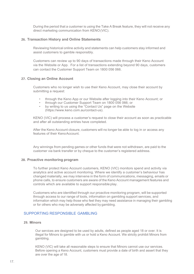During the period that a customer is using the Take A Break feature, they will not receive any direct marketing communication from KENO(VIC).

#### **26. Transaction History and Online Statements**

Reviewing historical online activity and statements can help customers stay informed and assist customers to gamble responsibly.

Customers can review up to 90 days of transactions made through their Keno Account via the Website or App. For a list of transactions extending beyond 90 days, customers can contact the Customer Support Team on 1800 056 066.

#### **27. Closing an Online Account**

Customers who no longer wish to use their Keno Account, may close their account by submitting a request:

- through the Keno App or our Website after logging into their Keno Account; or
- through our Customer Support Team on 1800 056 066; or
- by writing to us using the "Contact Us" page on the Website (https://www.keno.com.au/contact-us).

KENO (VIC) will process a customer's request to close their account as soon as practicable and after all outstanding entries have completed.

After the Keno Account closure, customers will no longer be able to log in or access any features of their Keno Account.

Any winnings from pending games or other funds that were not withdrawn, are paid to the customer via bank transfer or by cheque to the customer's registered address.

#### **28. Proactive monitoring program**

To further protect Keno Account customers, KENO (VIC) monitors spend and activity via analytics and active account monitoring. Where we identify a customer's behaviour has changed materially, we may intervene in the form of communications, messaging, emails or phone calls, to ensure customers are aware of the Keno Account management features and controls which are available to support responsible play.

Customers who are identified through our proactive monitoring program, will be supported through access to our range of tools, information on gambling support services, and information which may help those who feel they may need assistance in managing their gambling or for others who may be adversely affected by gambling.

# SUPPORTING RESPONSIBLE GAMBLING

## **29. Minors**

Our services are designed to be used by adults, defined as people aged 18 or over. It is illegal for Minors to gamble with us or hold a Keno Account. We strictly prohibit Minors from gambling.

KENO (VIC) will take all reasonable steps to ensure that Minors cannot use our services. Before opening a Keno Account, customers must provide a date of birth and assert that they are over the age of 18.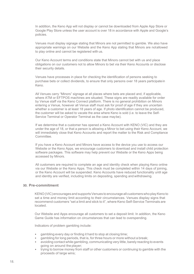In addition, the Keno App will not display or cannot be downloaded from Apple App Store or Google Play Store unless the user account is over 18 in accordance with Apple and Google's policies.

Venues must display signage stating that Minors are not permitted to gamble. We also have appropriate warnings on our Website and the Keno App stating that Minors are notallowed to play online and cannot be registered with us.

Our Keno Account terms and conditions state that Minors cannot bet with us and place obligations on our customers not to allow Minors to bet via their Keno Accounts or disclose their security details.

Venues have processes in place for checking the identification of persons seeking to purchase bets or collect dividends, to ensure that only persons over 18 years participatein Keno.

All Venues carry "Minors" signage at all places where bets are placed and, if applicable, where ATM or EFTPOS machines are situated. These signs are readily available for order by Venue staff via the Keno Connect platform. There is no general prohibition on Minors entering a Venue, however all Venue staff must ask for proof of age if they are uncertain whether a customer is at least 18 years of age. If photo identification cannot be produced, the customer will be asked to vacate the area where Keno is sold (i.e. to leave the Self-Service Terminal or Operator Terminal as the case maybe).

If we determine that a customer has opened a Keno Account with KENO (VIC) and they are under the age of 18, or that a person is allowing a Minor to bet using their Keno Account, we will immediately close that Keno Accounts and report the matter to the Risk and Compliance **Committee** 

If you have a Keno Account and Minors have access to the device you use to access our Website or the Keno Apps, we encourage customers to download and install child protection software packages. This software may help prevent our Website or the Keno Apps being accessed by Minors.

All customers are required to complete an age and identity check when playing Keno online via our Website or the Keno Apps. This check must be completed within 14 days of joining, or the Keno Account will be suspended. Keno Accounts have reduced functionality until age and identity are verified, including limits on depositing, spending and withdrawing.

#### **30. Pre-commitment**

KENO(VIC)encourages and supportsVenues to encourage all customerswhoplayKeno to set a time and money limit according to their circumstances. Venues display signs that recommend customers "set a limit and stick to it", where Keno Self-Service Terminals are located.

Our Website and Apps encourage all customers to set a deposit limit. In addition, the Keno Game Guide has information on circumstances that can lead to overspending.

Indicators of problem gambling include:

- gambling every day or finding it hard to stop at closing time;
- gambling for long periods, that is, for three hours or more without a break;
- avoiding contact while gambling, communicating very little, barely reacting to events going on around the player;
- trying to borrow money from staff or other customers or continuing to gamble with the proceeds of large wins;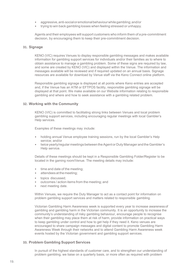- aggressive,anti-socialoremotionalbehaviourwhilegambling;and/or
- trying to win back gambling losses when feeling stressed or unhappy.

Agents and their employees will support customers who inform them of a pre-commitment decision, by encouraging them to keep their pre-commitment decision.

#### **31. Signage**

KENO (VIC) requires Venues to display responsible gambling messages and makes available information for gambling support services for individuals and/or their families as to where to obtain assistance to manage a gambling problem. Some of these signs are required by law, and some are created by KENO (VIC) and displayed within the Venue. The information and messages available will be reviewed and if required updated on an annual basis. Signage resources are available for download by Venue staff via the Keno Connect online platform.

Responsible gambling signage is displayed at all points where Keno entries are accepted and, if the Venue has an ATM or EFTPOS facility, responsible gambling signage will be displayed at that point. We make available on our Website information relating to responsible gambling and where and how to seek assistance with a gambling related problem.

#### **32. Working with the Community**

KENO (VIC) is committed to facilitating strong links between Venues and local problem gambling support services, including encouraging regular meetings with local Gambler's Help services.

Examples of these meetings may include:

- holding annual Venue employee training sessions, run by the local Gambler's Help service; and/or
- twice yearly/regular meetings between theAgent or Duty Manager and the Gambler's Help service.

Details of these meetings should be kept in a Responsible Gambling Folder/Register to be located in the gaming room/Venue. The meeting details may include:

- time and date of the meeting;
- attendees at the meeting;
- topics discussed;
- outcomes / action items from the meeting; and
- next meeting date.

Within Venues, we require the Duty Manager to act as a contact point for information on problem gambling support services and matters related to responsible gambling.

Victorian Gambling Harm Awareness week is supported every year to increase awareness of gambling and gambling harm in the Victorian community. It is an opportunity to increase the community's understanding of risky gambling behaviour, encourage people to recognise when their gambling may place them at risk of harm, provide information on practical ways to keep gambling under control and how to get help if they need it. Keno venues are encouraged to share campaign messages and digital content to promote Gambling Harm Awareness Week through their networks and to attend Gambling Harm Awareness week events hosted by the Victorian government and gambling support services.

#### **33. Problem Gambling Support Services**

In pursuit of the highest standards of customer care, and to strengthen our understanding of problem gambling, we liaise on a quarterly basis, or more often as required with problem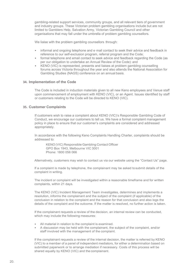gambling-related support services, community groups, and all relevant tiers of government and industry groups. These Victorian problem gambling organisations include but are not limited to Gamblers Help, Salvation Army, Victorian Gambling Council and other organisations that may fall under the umbrella of problem gambling counsellors.

We liaise with the problem gambling counsellors through:

- informal and ongoing telephone and e·mail contact to seek their advice and feedback in reference to our self-exclusion program, referral program and the Code;
- formal telephone and email contact to seek advice and feedback regarding the Code (as per our obligation to undertake an Annual Review of the Code): and
- KENO (VIC) is represented, presents and liaises at problem gambling counselling forums across Victoria throughout the year and also attends the National Association for Gambling Studies (NAGS) conference on an annual basis.

#### **34. Implementation of the Code**

The Code is included in induction materials given to all new Keno employees and Venue staff upon commencement of employment with KENO (VIC), or an Agent. Issues identified by staff or customers relating to the Code will be directed to KENO (VIC).

#### **35. Customer Complaints**

If customers wish to raise a complaint about KENO (VIC)'s Responsible Gambling Code of Conduct, we encourage our customers to tell us. We have a formal complaint management policy in place to ensure that our customer's complaints are considered and addressed appropriately.

In accordance with the following Keno Complaints Handling Charter, complaints should be addressed to:

KENO (VIC) Responsible Gambling Contact Officer GPO Box 1943, Melbourne VIC 3001 Phone: 1800 056 066

Alternatively, customers may wish to contact us via our website using the "Contact Us" page.

If a complaint is made by telephone, the complainant may be asked tosubmit details of the complaint in writing.

The incident or complaint will be investigated within a reasonable timeframe and for written complaints, within 21 days.

The KENO (VIC) Incident Management Team investigates, determines and implements a resolution, informs the complainant and the subject of the complaint (if applicable) of the conclusion in relation to the complaint and the reason for that conclusion and also logs the details of the complaint and the outcome. If the matter is resolved, no further action is taken.

If the complainant requests a review of the decision, an internal review can be conducted, which may include the following measures:

- All material in relation to the complaint is examined.
- A discussion may be held with the complainant, the subject of the complaint, and/or staff involved with the management of the complaint.

If the complainant requests a review of the internal decision, the matter is referred by KENO (VIC) to a member of a panel of independent mediators, for either a determination based on submitted paperwork or to arrange mediation if necessary. Costs of this process will be shared equally by KENO (VIC) and the complainant.